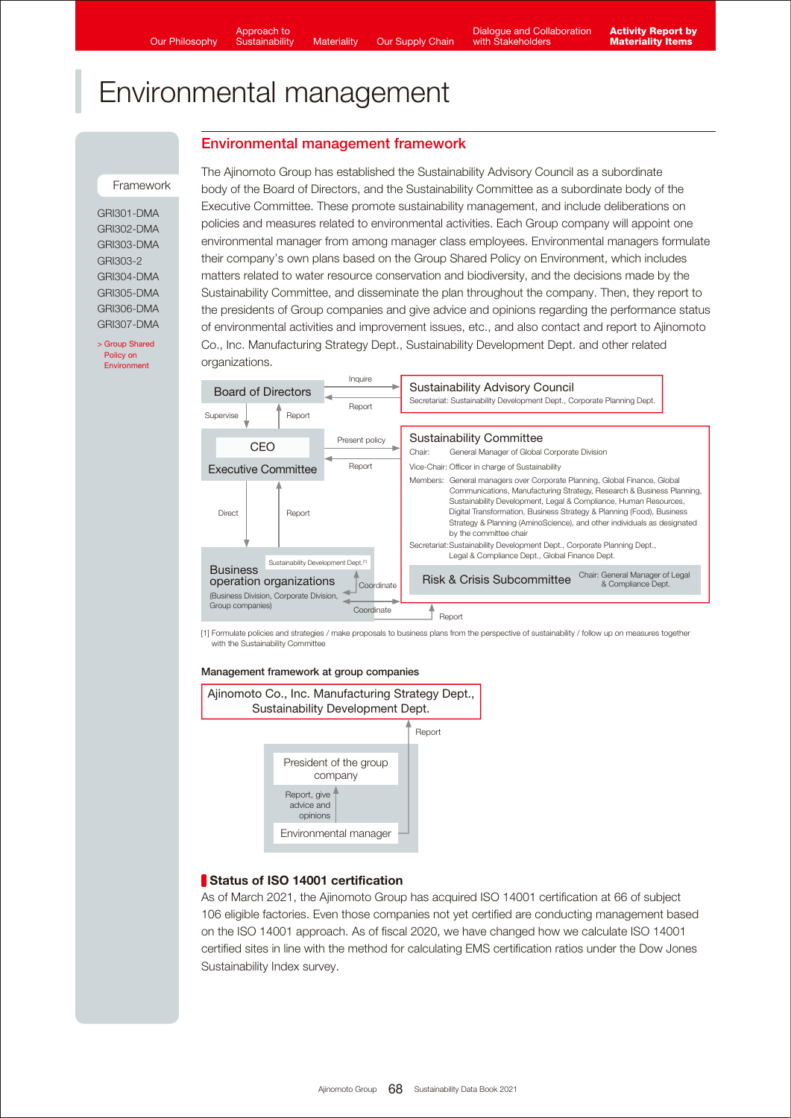## Environmental management framework

#### **Framework**

GRI301-DMA GRI302-DMA GRI303-DMA GRI303-2 GRI304-DMA GRI305-DMA GRI306-DMA GRI307-DMA

[> Group Shared](https://www.ajinomoto.com/sustainability/agp/environment.php) Policy on Environment

The Ajinomoto Group has established the Sustainability Advisory Council as a subordinate body of the Board of Directors, and the Sustainability Committee as a subordinate body of the Executive Committee. These promote sustainability management, and include deliberations on policies and measures related to environmental activities. Each Group company will appoint one environmental manager from among manager class employees. Environmental managers formulate their company's own plans based on the Group Shared Policy on Environment, which includes matters related to water resource conservation and biodiversity, and the decisions made by the Sustainability Committee, and disseminate the plan throughout the company. Then, they report to the presidents of Group companies and give advice and opinions regarding the performance status of environmental activities and improvement issues, etc., and also contact and report to Ajinomoto Co., Inc. Manufacturing Strategy Dept., Sustainability Development Dept. and other related organizations.



[1] Formulate policies and strategies / make proposals to business plans from the perspective of sustainability / follow up on measures together with the Sustainability Committee

#### Management framework at group companies



## Status of ISO 14001 certification

As of March 2021, the Ajinomoto Group has acquired ISO 14001 certification at 66 of subject 106 eligible factories. Even those companies not yet certified are conducting management based on the ISO 14001 approach. As of fiscal 2020, we have changed how we calculate ISO 14001 certified sites in line with the method for calculating EMS certification ratios under the Dow Jones Sustainability Index survey.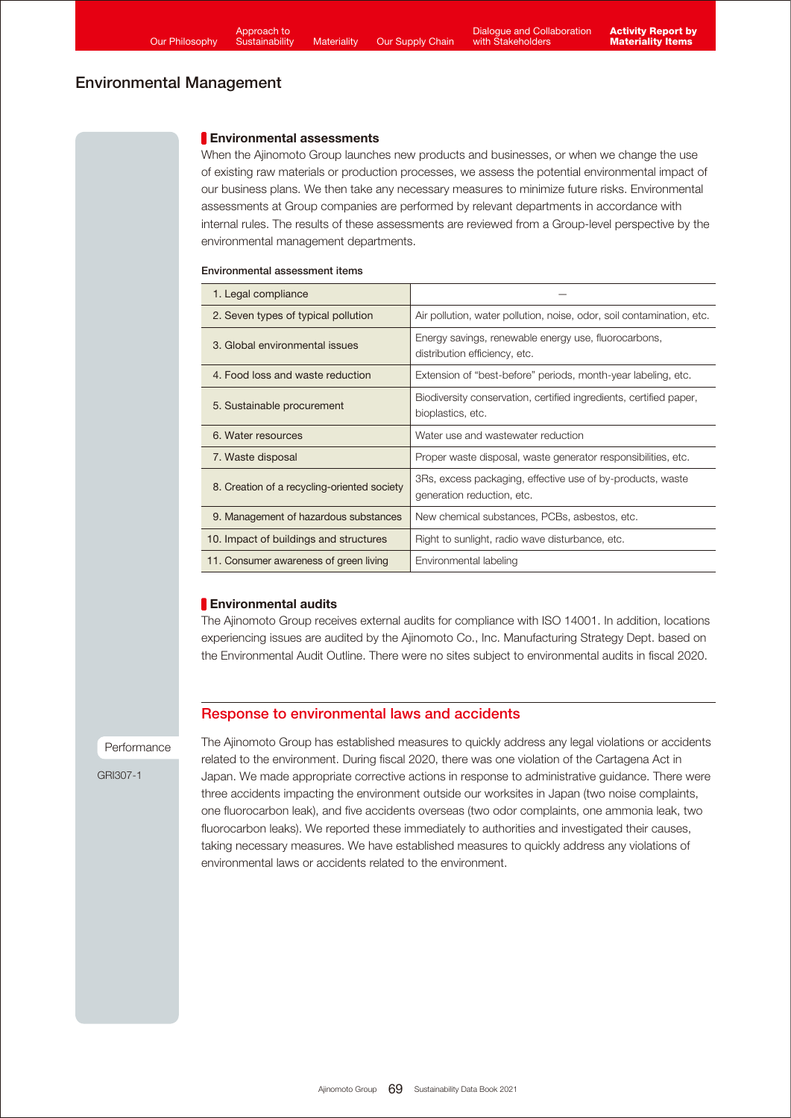## **Environmental assessments**

When the Ajinomoto Group launches new products and businesses, or when we change the use of existing raw materials or production processes, we assess the potential environmental impact of our business plans. We then take any necessary measures to minimize future risks. Environmental assessments at Group companies are performed by relevant departments in accordance with internal rules. The results of these assessments are reviewed from a Group-level perspective by the environmental management departments.

#### Environmental assessment items

| 1. Legal compliance                         |                                                                                          |  |  |
|---------------------------------------------|------------------------------------------------------------------------------------------|--|--|
| 2. Seven types of typical pollution         | Air pollution, water pollution, noise, odor, soil contamination, etc.                    |  |  |
| 3. Global environmental issues              | Energy savings, renewable energy use, fluorocarbons,<br>distribution efficiency, etc.    |  |  |
| 4. Food loss and waste reduction            | Extension of "best-before" periods, month-year labeling, etc.                            |  |  |
| 5. Sustainable procurement                  | Biodiversity conservation, certified ingredients, certified paper,<br>bioplastics, etc.  |  |  |
| 6. Water resources                          | Water use and wastewater reduction                                                       |  |  |
| 7. Waste disposal                           | Proper waste disposal, waste generator responsibilities, etc.                            |  |  |
| 8. Creation of a recycling-oriented society | 3Rs, excess packaging, effective use of by-products, waste<br>generation reduction, etc. |  |  |
| 9. Management of hazardous substances       | New chemical substances, PCBs, asbestos, etc.                                            |  |  |
| 10. Impact of buildings and structures      | Right to sunlight, radio wave disturbance, etc.                                          |  |  |
| 11. Consumer awareness of green living      | Environmental labeling                                                                   |  |  |

## **Environmental audits**

The Ajinomoto Group receives external audits for compliance with ISO 14001. In addition, locations experiencing issues are audited by the Ajinomoto Co., Inc. Manufacturing Strategy Dept. based on the Environmental Audit Outline. There were no sites subject to environmental audits in fiscal 2020.

## Response to environmental laws and accidents

#### Performance

GRI307-1

The Ajinomoto Group has established measures to quickly address any legal violations or accidents related to the environment. During fiscal 2020, there was one violation of the Cartagena Act in Japan. We made appropriate corrective actions in response to administrative guidance. There were three accidents impacting the environment outside our worksites in Japan (two noise complaints, one fluorocarbon leak), and five accidents overseas (two odor complaints, one ammonia leak, two fluorocarbon leaks). We reported these immediately to authorities and investigated their causes, taking necessary measures. We have established measures to quickly address any violations of environmental laws or accidents related to the environment.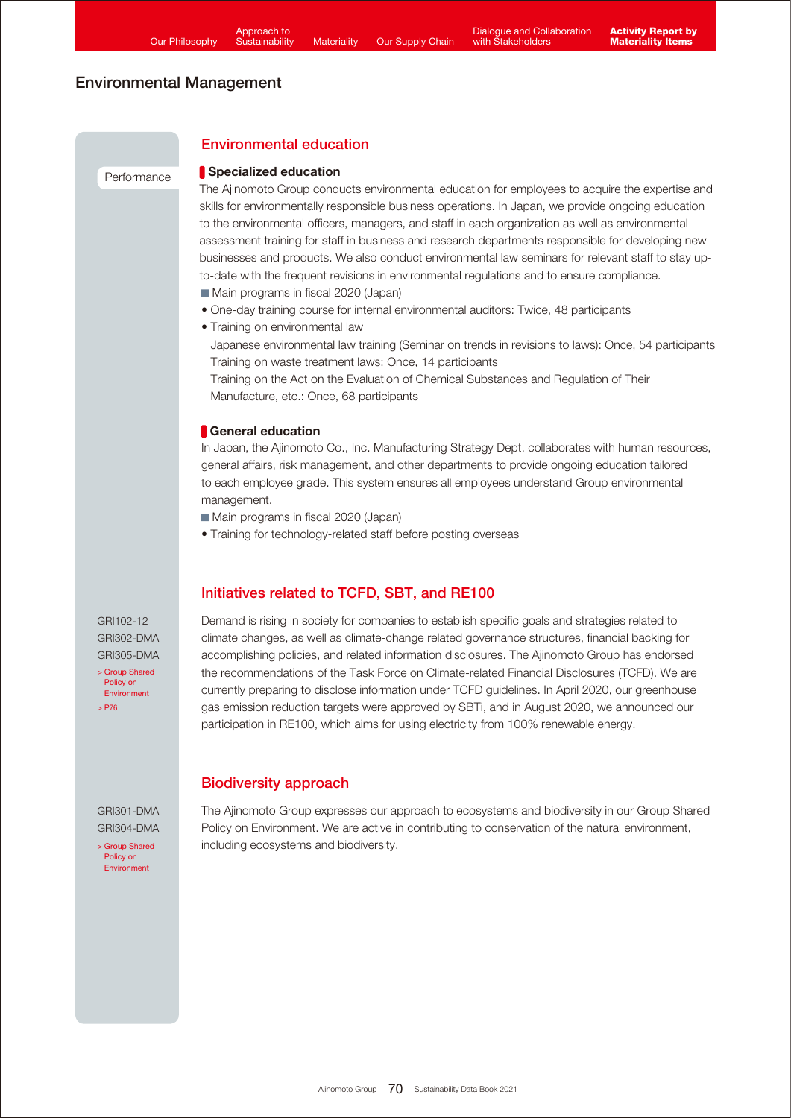**Performance** 

## Environmental education

## Specialized education

The Ajinomoto Group conducts environmental education for employees to acquire the expertise and skills for environmentally responsible business operations. In Japan, we provide ongoing education to the environmental officers, managers, and staff in each organization as well as environmental assessment training for staff in business and research departments responsible for developing new businesses and products. We also conduct environmental law seminars for relevant staff to stay upto-date with the frequent revisions in environmental regulations and to ensure compliance.

- Main programs in fiscal 2020 (Japan)
- One-day training course for internal environmental auditors: Twice, 48 participants
- Training on environmental law Japanese environmental law training (Seminar on trends in revisions to laws): Once, 54 participants Training on waste treatment laws: Once, 14 participants

Training on the Act on the Evaluation of Chemical Substances and Regulation of Their Manufacture, etc.: Once, 68 participants

## **General education**

In Japan, the Ajinomoto Co., Inc. Manufacturing Strategy Dept. collaborates with human resources, general affairs, risk management, and other departments to provide ongoing education tailored to each employee grade. This system ensures all employees understand Group environmental management.

Main programs in fiscal 2020 (Japan)

• Training for technology-related staff before posting overseas

## Initiatives related to TCFD, SBT, and RE100

[> Group Shared](https://www.ajinomoto.com/sustainability/agp/environment.php) Policy on Environment [> P76](https://www.ajinomoto.com/sustainability/pdf/2021/SDB2021en_climate.pdf#page=3) GRI102-12 GRI302-DMA GRI305-DMA Demand is rising in society for companies to establish specific goals and strategies related to climate changes, as well as climate-change related governance structures, financial backing for accomplishing policies, and related information disclosures. The Ajinomoto Group has endorsed the recommendations of the Task Force on Climate-related Financial Disclosures (TCFD). We are currently preparing to disclose information under TCFD guidelines. In April 2020, our greenhouse gas emission reduction targets were approved by SBTi, and in August 2020, we announced our participation in RE100, which aims for using electricity from 100% renewable energy.

## Biodiversity approach

GRI301-DMA GRI304-DMA

[> Group Shared](https://www.ajinomoto.com/sustainability/agp/environment.php) Policy on Environment

The Ajinomoto Group expresses our approach to ecosystems and biodiversity in our Group Shared Policy on Environment. We are active in contributing to conservation of the natural environment, including ecosystems and biodiversity.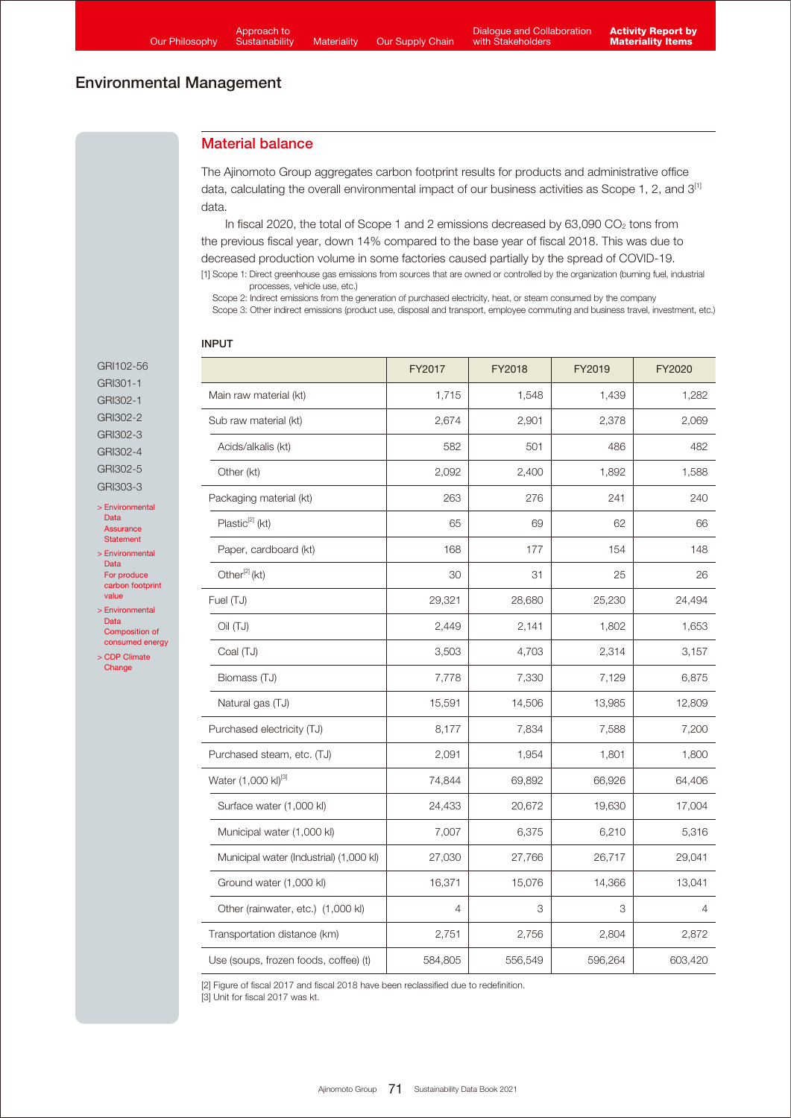## Material balance

The Ajinomoto Group aggregates carbon footprint results for products and administrative office data, calculating the overall environmental impact of our business activities as Scope 1, 2, and 3[1] data.

In fiscal 2020, the total of Scope 1 and 2 emissions decreased by  $63,090$  CO<sub>2</sub> tons from the previous fiscal year, down 14% compared to the base year of fiscal 2018. This was due to decreased production volume in some factories caused partially by the spread of COVID-19. [1] Scope 1: Direct greenhouse gas emissions from sources that are owned or controlled by the organization (burning fuel, industrial

processes, vehicle use, etc.)

Scope 2: Indirect emissions from the generation of purchased electricity, heat, or steam consumed by the company

Scope 3: Other indirect emissions (product use, disposal and transport, employee commuting and business travel, investment, etc.)

#### INPUT

[> Environmental](https://www.ajinomoto.co.jp/company/en/ir/library/databook/main/08/teaserItems1/0/linkList/00/link/SDB2021_appendix_env_en.pdf#page=5)  Data Assurance Statement [> Environmental](https://www.ajinomoto.co.jp/company/en/ir/library/databook/main/08/teaserItems1/0/linkList/00/link/SDB2021_appendix_env_en.pdf#page=3)  Data For produce carbon footprint value > Environmental Data Composition of [consumed energy](https://www.ajinomoto.co.jp/company/en/ir/library/databook/main/08/teaserItems1/0/linkList/00/link/SDB2021_appendix_env_en.pdf#page=3) [> CDP Climate](https://www.ajinomoto.com/sustainability/pdf/2021/Ajinomoto_CDP_ClimateChange_2021.pdf) **Change** 

GRI102-56 GRI301-1 GRI302-1 GRI302-2 GRI302-3 GRI302-4 GRI302-5 GRI303-3

|                                         | FY2017         | FY2018  | FY2019  | FY2020  |
|-----------------------------------------|----------------|---------|---------|---------|
| Main raw material (kt)                  | 1,715          | 1,548   | 1,439   | 1,282   |
| Sub raw material (kt)                   | 2,674          | 2,901   | 2,378   | 2,069   |
| Acids/alkalis (kt)                      | 582            | 501     | 486     | 482     |
| Other (kt)                              | 2,092          | 2,400   | 1,892   | 1,588   |
| Packaging material (kt)                 | 263            | 276     | 241     | 240     |
| Plastic <sup>[2]</sup> (kt)             | 65             | 69      | 62      | 66      |
| Paper, cardboard (kt)                   | 168            | 177     | 154     | 148     |
| Other <sup>[2]</sup> (kt)               | 30             | 31      | 25      | 26      |
| Fuel (TJ)                               | 29,321         | 28,680  | 25,230  | 24,494  |
| (UT) liO                                | 2,449          | 2,141   | 1,802   | 1,653   |
| Coal (TJ)                               | 3,503          | 4,703   | 2,314   | 3,157   |
| Biomass (TJ)                            | 7,778          | 7,330   | 7,129   | 6,875   |
| Natural gas (TJ)                        | 15,591         | 14,506  | 13,985  | 12,809  |
| Purchased electricity (TJ)              | 8,177          | 7,834   | 7,588   | 7,200   |
| Purchased steam, etc. (TJ)              | 2,091          | 1,954   | 1,801   | 1,800   |
| Water (1,000 kl)[3]                     | 74,844         | 69,892  | 66,926  | 64,406  |
| Surface water (1,000 kl)                | 24,433         | 20,672  | 19,630  | 17,004  |
| Municipal water (1,000 kl)              | 7,007          | 6,375   | 6,210   | 5,316   |
| Municipal water (Industrial) (1,000 kl) | 27,030         | 27,766  | 26,717  | 29,041  |
| Ground water (1,000 kl)                 | 16,371         | 15,076  | 14,366  | 13,041  |
| Other (rainwater, etc.) (1,000 kl)      | $\overline{4}$ | 3       | 3       | 4       |
| Transportation distance (km)            | 2,751          | 2,756   | 2,804   | 2,872   |
| Use (soups, frozen foods, coffee) (t)   | 584,805        | 556,549 | 596,264 | 603,420 |

[2] Figure of fiscal 2017 and fiscal 2018 have been reclassified due to redefinition.

[3] Unit for fiscal 2017 was kt.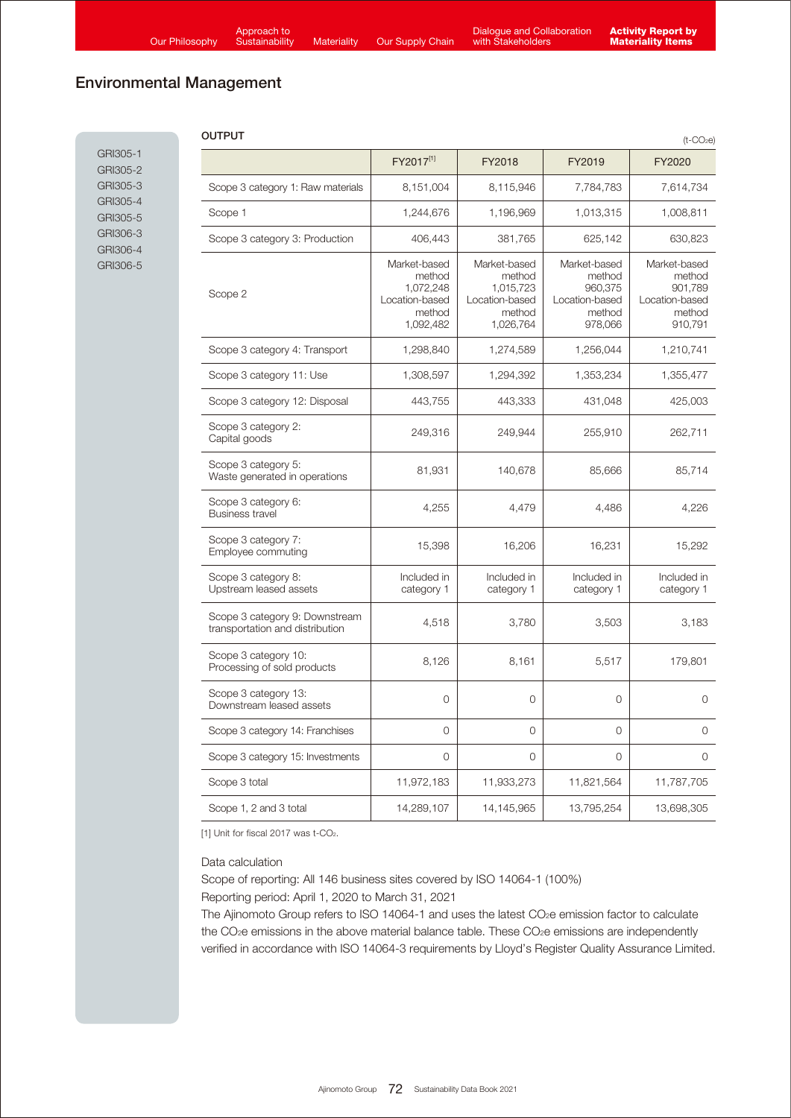J.

# Environmental Management

GRI305-1 GRI305-2 GRI305-3 GRI305-4 GRI305-5 GRI306-3 GRI306-4 GRI306-5

| OUTPUT<br>$(t$ -CO <sub>2</sub> e)                                |                                                                              |                                                                              |                                                                          |                                                                          |  |  |
|-------------------------------------------------------------------|------------------------------------------------------------------------------|------------------------------------------------------------------------------|--------------------------------------------------------------------------|--------------------------------------------------------------------------|--|--|
|                                                                   | FY2017[1]                                                                    | FY2018                                                                       | FY2019                                                                   | FY2020                                                                   |  |  |
| Scope 3 category 1: Raw materials                                 | 8,151,004                                                                    | 8,115,946                                                                    | 7,784,783                                                                | 7,614,734                                                                |  |  |
| Scope 1                                                           | 1,244,676                                                                    | 1,196,969                                                                    | 1,013,315                                                                | 1,008,811                                                                |  |  |
| Scope 3 category 3: Production                                    | 406,443                                                                      | 381,765                                                                      | 625,142                                                                  | 630,823                                                                  |  |  |
| Scope 2                                                           | Market-based<br>method<br>1,072,248<br>Location-based<br>method<br>1,092,482 | Market-based<br>method<br>1,015,723<br>Location-based<br>method<br>1,026,764 | Market-based<br>method<br>960,375<br>Location-based<br>method<br>978,066 | Market-based<br>method<br>901.789<br>Location-based<br>method<br>910,791 |  |  |
| Scope 3 category 4: Transport                                     | 1,298,840                                                                    | 1,274,589                                                                    | 1,256,044                                                                | 1,210,741                                                                |  |  |
| Scope 3 category 11: Use                                          | 1,308,597                                                                    | 1,294,392                                                                    | 1,353,234                                                                | 1,355,477                                                                |  |  |
| Scope 3 category 12: Disposal                                     | 443,755                                                                      | 443,333                                                                      | 431,048                                                                  | 425,003                                                                  |  |  |
| Scope 3 category 2:<br>Capital goods                              | 249,316                                                                      | 249,944                                                                      | 255,910                                                                  | 262,711                                                                  |  |  |
| Scope 3 category 5:<br>Waste generated in operations              | 81,931                                                                       | 140,678                                                                      | 85,666                                                                   | 85,714                                                                   |  |  |
| Scope 3 category 6:<br><b>Business travel</b>                     | 4,255                                                                        | 4,479                                                                        | 4.486                                                                    | 4,226                                                                    |  |  |
| Scope 3 category 7:<br>Employee commuting                         | 15,398                                                                       | 16,206                                                                       | 16,231                                                                   | 15,292                                                                   |  |  |
| Scope 3 category 8:<br>Upstream leased assets                     | Included in<br>category 1                                                    | Included in<br>category 1                                                    | Included in<br>category 1                                                | Included in<br>category 1                                                |  |  |
| Scope 3 category 9: Downstream<br>transportation and distribution | 4,518                                                                        | 3,780                                                                        | 3,503                                                                    | 3,183                                                                    |  |  |
| Scope 3 category 10:<br>Processing of sold products               | 8,126                                                                        | 8,161                                                                        | 5,517                                                                    | 179,801                                                                  |  |  |
| Scope 3 category 13:<br>Downstream leased assets                  | 0                                                                            | $\overline{0}$                                                               | $\overline{0}$                                                           | 0                                                                        |  |  |
| Scope 3 category 14: Franchises                                   | 0                                                                            | 0                                                                            | $\overline{0}$                                                           | 0                                                                        |  |  |
| Scope 3 category 15: Investments                                  | 0                                                                            | 0                                                                            | $\circ$                                                                  | $\circ$                                                                  |  |  |
| Scope 3 total                                                     | 11,972,183                                                                   | 11,933,273                                                                   | 11,821,564                                                               | 11,787,705                                                               |  |  |
| Scope 1, 2 and 3 total                                            | 14,289,107                                                                   | 14,145,965                                                                   | 13,795,254                                                               | 13,698,305                                                               |  |  |

[1] Unit for fiscal 2017 was t-CO<sub>2</sub>.

Data calculation

Scope of reporting: All 146 business sites covered by ISO 14064-1 (100%)

Reporting period: April 1, 2020 to March 31, 2021

The Ajinomoto Group refers to ISO 14064-1 and uses the latest CO<sub>2</sub>e emission factor to calculate the CO<sub>2</sub>e emissions in the above material balance table. These CO<sub>2</sub>e emissions are independently verified in accordance with ISO 14064-3 requirements by Lloyd's Register Quality Assurance Limited.